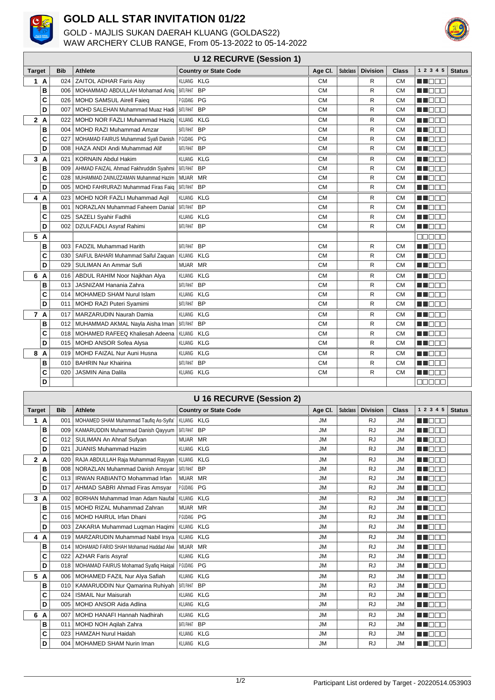

## **GOLD ALL STAR INVITATION 01/22**

GOLD - MAJLIS SUKAN DAERAH KLUANG (GOLDAS22) WAW ARCHERY CLUB RANGE, From 05-13-2022 to 05-14-2022



## **U 12 RECURVE (Session 1)**

| <b>Target</b>       | <b>Bib</b> | <b>Athlete</b>                             | <b>Country or State Code</b>   | Age Cl.   | <b>Subclass</b> | <b>Division</b> | <b>Class</b> | 1 2 3 4 5     | <b>Status</b> |
|---------------------|------------|--------------------------------------------|--------------------------------|-----------|-----------------|-----------------|--------------|---------------|---------------|
| 1A                  | 024        | <b>ZAITOL ADHAR Faris Aisy</b>             | KLUANG KLG                     | <b>CM</b> |                 | R               | <b>CM</b>    | N N N N N     |               |
| B                   |            | 006   MOHAMMAD ABDULLAH Mohamad Aniq       | BATUPAHAT BP                   | <b>CM</b> |                 | R               | <b>CM</b>    | MA FIFIT      |               |
| C                   | 026        | MOHD SAMSUL Airell Faieg                   | PGUDANG PG                     | <b>CM</b> |                 | R               | <b>CM</b>    | <b>HERRIA</b> |               |
| D                   | 007        | MOHD SALEHAN Muhammad Muaz Hadi            | <b>BATU PAHAT</b><br><b>BP</b> | <b>CM</b> |                 | R               | <b>CM</b>    | M DE O        |               |
| 2A                  | 022        | MOHD NOR FAZLI Muhammad Haziq              | KLUANG KLG                     | <b>CM</b> |                 | R               | <b>CM</b>    | M DE S        |               |
| в                   | 004        | <b>MOHD RAZI Muhammad Amzar</b>            | <b>BP</b><br>BATU PAHAT        | <b>CM</b> |                 | R               | <b>CM</b>    | ma a ma       |               |
| C                   | 027        | MOHAMAD FAIRUS Muhammad Syafi Danish       | PGUDANG PG                     | <b>CM</b> |                 | R               | <b>CM</b>    | MA BER        |               |
| D                   |            | 008   HAZA ANDI Andi Muhammad Alif         | BATUPAHAT BP                   | <b>CM</b> |                 | R               | <b>CM</b>    | n dee         |               |
| 3A                  | 021        | <b>KORNAIN Abdul Hakim</b>                 | KLUANG KLG                     | <b>CM</b> |                 | R               | <b>CM</b>    | <b>NH</b> OOO |               |
| B                   |            | 009   AHMAD FAIZAL Ahmad Fakhruddin Syahmi | BATU PAHAT<br><b>BP</b>        | <b>CM</b> |                 | R               | <b>CM</b>    | MN 888        |               |
| C                   |            | 028   MUHAMMAD ZAINUZZAMAN Muhammad Hazim  | MUAR MR                        | <b>CM</b> |                 | R               | <b>CM</b>    | M DE O        |               |
| D                   |            | 005   MOHD FAHRURAZI Muhammad Firas Faig   | BATU PAHAT<br><b>BP</b>        | <b>CM</b> |                 | R               | <b>CM</b>    | MA BER        |               |
| 4<br>$\overline{A}$ |            | 023 MOHD NOR FAZLI Muhammad Agil           | <b>KLG</b><br>KLUANG           | <b>CM</b> |                 | R               | <b>CM</b>    | <b>REFERE</b> |               |
| B                   |            | 001   NORAZLAN Muhammad Faheem Danial      | BATU PAHAT<br><b>BP</b>        | <b>CM</b> |                 | R               | <b>CM</b>    | MU O O O      |               |
| C                   |            | 025   SAZELI Syahir Fadhli                 | KLUANG KLG                     | <b>CM</b> |                 | R               | <b>CM</b>    | M DE O        |               |
| D                   |            | 002   DZULFADLI Asyraf Rahimi              | BATUPAHAT BP                   | <b>CM</b> |                 | R               | <b>CM</b>    | M DE O        |               |
| 5 A                 |            |                                            |                                |           |                 |                 |              | 88888         |               |
| в                   |            | 003   FADZIL Muhammad Harith               | <b>BP</b><br>BATU PAHAT        | <b>CM</b> |                 | R               | <b>CM</b>    | MT BER        |               |
| C                   |            | 030   SAIFUL BAHARI Muhammad Saiful Zaquan | KLUANG KLG                     | <b>CM</b> |                 | R               | <b>CM</b>    | M BER         |               |
| D                   |            | 029   SULIMAN An Ammar Sufi                | MUAR MR                        | <b>CM</b> |                 | R               | <b>CM</b>    | MN 888        |               |
| 6 A                 |            | 016   ABDUL RAHIM Noor Najkhan Alya        | KLUANG KLG                     | <b>CM</b> |                 | R               | <b>CM</b>    | M DE D        |               |
| B                   | 013        | JASNIZAM Hanania Zahra                     | <b>BP</b><br>BATU PAHAT        | <b>CM</b> |                 | R               | <b>CM</b>    | <b>RICHTI</b> |               |
| C                   |            | 014   MOHAMED SHAM Nurul Islam             | KLUANG KLG                     | <b>CM</b> |                 | R               | <b>CM</b>    | n na m        |               |
| D                   |            | 011   MOHD RAZI Puteri Syamimi             | BATUPAHAT BP                   | <b>CM</b> |                 | R               | <b>CM</b>    | MN 888        |               |
| 7 A                 | 017        | MARZARUDIN Naurah Damia                    | KLUANG KLG                     | <b>CM</b> |                 | R               | <b>CM</b>    | M DE O        |               |
| в                   |            | 012   MUHAMMAD AKMAL Nayla Aisha Iman      | BATUPAHAT BP                   | <b>CM</b> |                 | R               | <b>CM</b>    | M DE S        |               |
| C                   |            | 018   MOHAMED RAFEEQ Khaliesah Adeena      | KLUANG<br><b>KLG</b>           | <b>CM</b> |                 | R               | <b>CM</b>    | M DE O        |               |
| D                   |            | 015   MOHD ANSOR Sofea Alysa               | KLUANG<br>KLG                  | <b>CM</b> |                 | R               | <b>CM</b>    | M DE S        |               |
| 8<br>$\overline{A}$ | 019        | MOHD FAIZAL Nur Auni Husna                 | KLUANG KLG                     | <b>CM</b> |                 | R               | <b>CM</b>    | M DE O        |               |
| B                   | 010        | <b>BAHRIN Nur Khairina</b>                 | BATUPAHAT BP                   | <b>CM</b> |                 | R               | <b>CM</b>    | M DE O        |               |
| C                   | 020        | <b>JASMIN Aina Dalila</b>                  | KLUANG KLG                     | <b>CM</b> |                 | R               | <b>CM</b>    | MN 888        |               |
| D                   |            |                                            |                                |           |                 |                 |              | eeeee         |               |
|                     |            |                                            |                                |           |                 |                 |              |               |               |

| <b>U 16 RECURVE (Session 2)</b> |                |            |                                                   |                              |           |                 |                 |              |                |               |
|---------------------------------|----------------|------------|---------------------------------------------------|------------------------------|-----------|-----------------|-----------------|--------------|----------------|---------------|
| <b>Target</b>                   |                | <b>Bib</b> | <b>Athlete</b>                                    | <b>Country or State Code</b> | Age CI.   | <b>Subclass</b> | <b>Division</b> | <b>Class</b> | 1 2 3 4 5      | <b>Status</b> |
| 1                               | A              | 001        | MOHAMED SHAM Muhammad Taufiq As-Syifa'            | KLUANG KLG                   | <b>JM</b> |                 | <b>RJ</b>       | <b>JM</b>    | <b>THE BEE</b> |               |
|                                 | B              | 009        | KAMARUDDIN Muhammad Danish Qayyum   BATUPAHAT BP  |                              | <b>JM</b> |                 | <b>RJ</b>       | <b>JM</b>    | M DE O         |               |
|                                 | C              | 012        | SULIMAN An Ahnaf Sufyan                           | MUAR MR                      | <b>JM</b> |                 | <b>RJ</b>       | <b>JM</b>    | MT BER         |               |
|                                 | D              | 021        | <b>JUANIS Muhammad Hazim</b>                      | KLUANG KLG                   | <b>JM</b> |                 | <b>RJ</b>       | <b>JM</b>    | M DE O         |               |
| 2A                              |                |            | 020   RAJA ABDULLAH Raja Muhammad Rayyan          | KLUANG KLG                   | <b>JM</b> |                 | <b>RJ</b>       | <b>JM</b>    | M DE O         |               |
|                                 | в              |            | 008   NORAZLAN Muhammad Danish Amsyar             | BATUPAHAT BP                 | <b>JM</b> |                 | <b>RJ</b>       | <b>JM</b>    | M DO O         |               |
|                                 | C              |            | 013   IRWAN RABIANTO Mohammad Irfan               | MUAR MR                      | <b>JM</b> |                 | <b>RJ</b>       | <b>JM</b>    | M DE O         |               |
|                                 | D              | 017        | AHMAD SABRI Ahmad Firas Amsyar                    | PGUDANG PG                   | <b>JM</b> |                 | <b>RJ</b>       | <b>JM</b>    | MU OO O        |               |
| 3                               | A              |            | 002 BORHAN Muhammad Iman Adam Naufal              | KLUANG KLG                   | <b>JM</b> |                 | <b>RJ</b>       | <b>JM</b>    | <b>REFERE</b>  |               |
|                                 | В              |            | 015   MOHD RIZAL Muhammad Zahran                  | MUAR MR                      | <b>JM</b> |                 | <b>RJ</b>       | <b>JM</b>    | MA DE O        |               |
|                                 | C              |            | 016   MOHD HAIRUL Irfan Dhani                     | PGUDANG PG                   | <b>JM</b> |                 | <b>RJ</b>       | <b>JM</b>    | M NATI         |               |
|                                 | D              |            | 003   ZAKARIA Muhammad Luqman Haqimi   KLUANG KLG |                              | <b>JM</b> |                 | <b>RJ</b>       | <b>JM</b>    | M DE S         |               |
| 4                               | A              |            | 019   MARZARUDIN Muhammad Nabil Irsya             | KLUANG KLG                   | <b>JM</b> |                 | <b>RJ</b>       | <b>JM</b>    | M DE S         |               |
|                                 | В              |            | 014   MOHAMAD FARID SHAH Mohamad Haddad Alwi      | MUAR MR                      | <b>JM</b> |                 | <b>RJ</b>       | <b>JM</b>    | <b>RENAR</b>   |               |
|                                 | C              |            | 022   AZHAR Faris Asyraf                          | KLUANG KLG                   | <b>JM</b> |                 | <b>RJ</b>       | <b>JM</b>    | MA DE O        |               |
|                                 | D              |            | 018   MOHAMAD FAIRUS Mohamad Syafiq Haigal        | PGUDANG PG                   | <b>JM</b> |                 | <b>RJ</b>       | <b>JM</b>    | M DE O         |               |
| 5 A                             |                |            | 006   MOHAMED FAZIL Nur Alya Safiah               | KLUANG KLG                   | <b>JM</b> |                 | <b>RJ</b>       | <b>JM</b>    | <b>REFERE</b>  |               |
|                                 | в              |            | 010   KAMARUDDIN Nur Qamarina Ruhiyah             | BATU PAHAT<br><b>BP</b>      | <b>JM</b> |                 | <b>RJ</b>       | <b>JM</b>    | M DE S         |               |
|                                 | C              | 024        | <b>ISMAIL Nur Maisurah</b>                        | KLUANG KLG                   | <b>JM</b> |                 | <b>RJ</b>       | <b>JM</b>    | M DE O         |               |
|                                 | D              |            | 005   MOHD ANSOR Aida Adlina                      | KLUANG KLG                   | <b>JM</b> |                 | <b>RJ</b>       | <b>JM</b>    | MN 888         |               |
| 6                               | $\overline{A}$ | 007        | MOHD HANAFI Hannah Nadhirah                       | KLUANG KLG                   | <b>JM</b> |                 | <b>RJ</b>       | <b>JM</b>    | <b>HEEE</b>    |               |
|                                 | В              |            | 011   MOHD NOH Agilah Zahra                       | BATUPAHAT BP                 | <b>JM</b> |                 | <b>RJ</b>       | <b>JM</b>    | <b>REFERE</b>  |               |
|                                 | C              | 023        | HAMZAH Nurul Haidah                               | KLUANG KLG                   | <b>JM</b> |                 | <b>RJ</b>       | <b>JM</b>    | MA DELL'       |               |
|                                 | D              |            | 004   MOHAMED SHAM Nurin Iman                     | KLUANG KLG                   | <b>JM</b> |                 | <b>RJ</b>       | <b>JM</b>    | M DE S         |               |